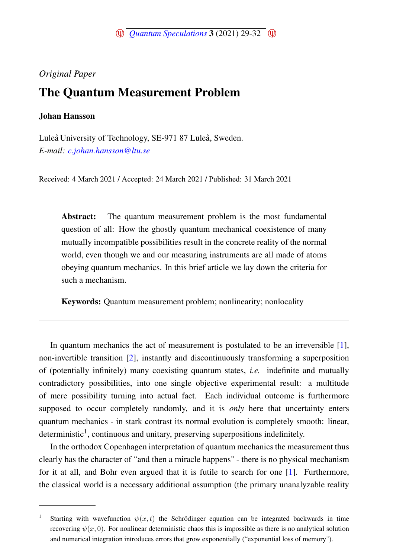*Original Paper*

## The Quantum Measurement Problem

## Johan Hansson

Luleå University of Technology, SE-971 87 Luleå, Sweden. *E-mail: <c.johan.hansson@ltu.se>*

Received: 4 March 2021 / Accepted: 24 March 2021 / Published: 31 March 2021

Abstract: The quantum measurement problem is the most fundamental question of all: How the ghostly quantum mechanical coexistence of many mutually incompatible possibilities result in the concrete reality of the normal world, even though we and our measuring instruments are all made of atoms obeying quantum mechanics. In this brief article we lay down the criteria for such a mechanism.

Keywords: Quantum measurement problem; nonlinearity; nonlocality

In quantum mechanics the act of measurement is postulated to be an irreversible [\[1\]](#page-2-0), non-invertible transition [\[2\]](#page-2-1), instantly and discontinuously transforming a superposition of (potentially infinitely) many coexisting quantum states, *i.e.* indefinite and mutually contradictory possibilities, into one single objective experimental result: a multitude of mere possibility turning into actual fact. Each individual outcome is furthermore supposed to occur completely randomly, and it is *only* here that uncertainty enters quantum mechanics - in stark contrast its normal evolution is completely smooth: linear, deterministic<sup>1</sup>, continuous and unitary, preserving superpositions indefinitely.

In the orthodox Copenhagen interpretation of quantum mechanics the measurement thus clearly has the character of "and then a miracle happens" - there is no physical mechanism for it at all, and Bohr even argued that it is futile to search for one [\[1\]](#page-2-0). Furthermore, the classical world is a necessary additional assumption (the primary unanalyzable reality

<sup>1</sup> Starting with wavefunction  $\psi(x, t)$  the Schrödinger equation can be integrated backwards in time recovering  $\psi(x, 0)$ . For nonlinear deterministic chaos this is impossible as there is no analytical solution and numerical integration introduces errors that grow exponentially ("exponential loss of memory").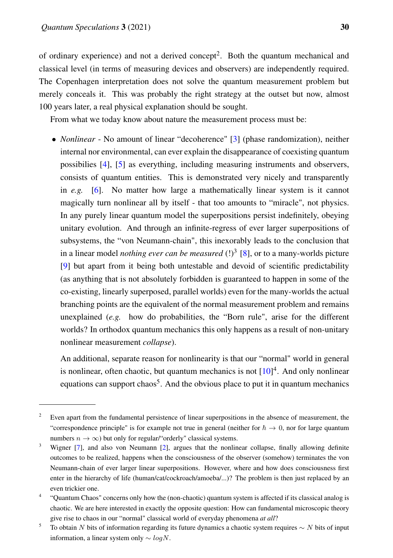of ordinary experience) and not a derived concept<sup>2</sup>. Both the quantum mechanical and classical level (in terms of measuring devices and observers) are independently required. The Copenhagen interpretation does not solve the quantum measurement problem but merely conceals it. This was probably the right strategy at the outset but now, almost 100 years later, a real physical explanation should be sought.

From what we today know about nature the measurement process must be:

• *Nonlinear* - No amount of linear "decoherence" [\[3\]](#page-2-2) (phase randomization), neither internal nor environmental, can ever explain the disappearance of coexisting quantum possibilies [\[4\]](#page-3-0), [\[5\]](#page-3-1) as everything, including measuring instruments and observers, consists of quantum entities. This is demonstrated very nicely and transparently in *e.g.* [\[6\]](#page-3-2). No matter how large a mathematically linear system is it cannot magically turn nonlinear all by itself - that too amounts to "miracle", not physics. In any purely linear quantum model the superpositions persist indefinitely, obeying unitary evolution. And through an infinite-regress of ever larger superpositions of subsystems, the "von Neumann-chain", this inexorably leads to the conclusion that in a linear model *nothing ever can be measured* (!)<sup>3</sup> [\[8\]](#page-3-3), or to a many-worlds picture [\[9\]](#page-3-4) but apart from it being both untestable and devoid of scientific predictability (as anything that is not absolutely forbidden is guaranteed to happen in some of the co-existing, linearly superposed, parallel worlds) even for the many-worlds the actual branching points are the equivalent of the normal measurement problem and remains unexplained (*e.g.* how do probabilities, the "Born rule", arise for the different worlds? In orthodox quantum mechanics this only happens as a result of non-unitary nonlinear measurement *collapse*).

An additional, separate reason for nonlinearity is that our "normal" world in general is nonlinear, often chaotic, but quantum mechanics is not  $[10]<sup>4</sup>$  $[10]<sup>4</sup>$ . And only nonlinear equations can support chaos<sup>5</sup>. And the obvious place to put it in quantum mechanics

<sup>&</sup>lt;sup>2</sup> Even apart from the fundamental persistence of linear superpositions in the absence of measurement, the "correspondence principle" is for example not true in general (neither for  $\hbar \to 0$ , nor for large quantum numbers  $n \to \infty$ ) but only for regular/"orderly" classical systems.

<sup>&</sup>lt;sup>3</sup> Wigner [\[7\]](#page-3-6), and also von Neumann [\[2\]](#page-2-1), argues that the nonlinear collapse, finally allowing definite outcomes to be realized, happens when the consciousness of the observer (somehow) terminates the von Neumann-chain of ever larger linear superpositions. However, where and how does consciousness first enter in the hierarchy of life (human/cat/cockroach/amoeba/...)? The problem is then just replaced by an even trickier one.

<sup>4</sup> "Quantum Chaos" concerns only how the (non-chaotic) quantum system is affected if its classical analog is chaotic. We are here interested in exactly the opposite question: How can fundamental microscopic theory give rise to chaos in our "normal" classical world of everyday phenomena *at all*?

 $\frac{5}{10}$  To obtain N bits of information regarding its future dynamics a chaotic system requires ∼ N bits of input information, a linear system only  $\sim$  logN.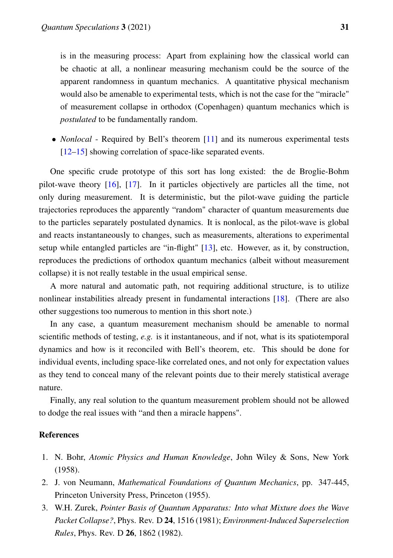is in the measuring process: Apart from explaining how the classical world can be chaotic at all, a nonlinear measuring mechanism could be the source of the apparent randomness in quantum mechanics. A quantitative physical mechanism would also be amenable to experimental tests, which is not the case for the "miracle" of measurement collapse in orthodox (Copenhagen) quantum mechanics which is *postulated* to be fundamentally random.

• *Nonlocal* - Required by Bell's theorem [\[11\]](#page-3-7) and its numerous experimental tests [\[12–](#page-3-8)[15\]](#page-3-9) showing correlation of space-like separated events.

One specific crude prototype of this sort has long existed: the de Broglie-Bohm pilot-wave theory [\[16\]](#page-3-10), [\[17\]](#page-3-11). In it particles objectively are particles all the time, not only during measurement. It is deterministic, but the pilot-wave guiding the particle trajectories reproduces the apparently "random" character of quantum measurements due to the particles separately postulated dynamics. It is nonlocal, as the pilot-wave is global and reacts instantaneously to changes, such as measurements, alterations to experimental setup while entangled particles are "in-flight" [\[13\]](#page-3-12), etc. However, as it, by construction, reproduces the predictions of orthodox quantum mechanics (albeit without measurement collapse) it is not really testable in the usual empirical sense.

A more natural and automatic path, not requiring additional structure, is to utilize nonlinear instabilities already present in fundamental interactions [\[18\]](#page-3-13). (There are also other suggestions too numerous to mention in this short note.)

In any case, a quantum measurement mechanism should be amenable to normal scientific methods of testing, *e.g.* is it instantaneous, and if not, what is its spatiotemporal dynamics and how is it reconciled with Bell's theorem, etc. This should be done for individual events, including space-like correlated ones, and not only for expectation values as they tend to conceal many of the relevant points due to their merely statistical average nature.

Finally, any real solution to the quantum measurement problem should not be allowed to dodge the real issues with "and then a miracle happens".

## References

- <span id="page-2-0"></span>1. N. Bohr, *Atomic Physics and Human Knowledge*, John Wiley & Sons, New York (1958).
- <span id="page-2-1"></span>2. J. von Neumann, *Mathematical Foundations of Quantum Mechanics*, pp. 347-445, Princeton University Press, Princeton (1955).
- <span id="page-2-2"></span>3. W.H. Zurek, *Pointer Basis of Quantum Apparatus: Into what Mixture does the Wave Packet Collapse?*, Phys. Rev. D 24, 1516 (1981); *Environment-Induced Superselection Rules*, Phys. Rev. D 26, 1862 (1982).